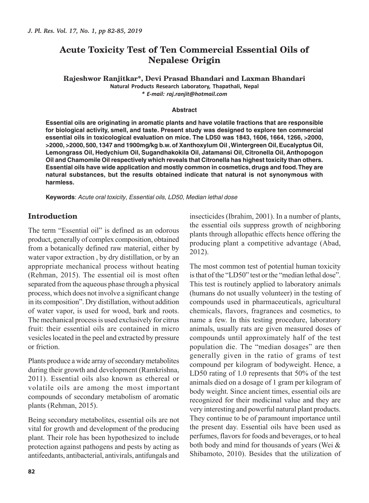# **Acute Toxicity Test of Ten Commercial Essential Oils of Nepalese Origin**

**Rajeshwor Ranjitkar\*, Devi Prasad Bhandari and Laxman Bhandari Natural Products Research Laboratory, Thapathali, Nepal** *\* E-mail: raj.ranjit@hotmail.com*

#### **Abstract**

**Essential oils are originating in aromatic plants and have volatile fractions that are responsible for biological activity, smell, and taste. Present study was designed to explore ten commercial essential oils in toxicological evaluation on mice. The LD50 was 1843, 1606, 1664, 1266, >2000, >2000, >2000, 500, 1347 and 1900mg/kg b.w. of Xanthoxylum Oil , Wintergreen Oil, Eucalyptus Oil, Lemongrass Oil, Hedychium Oil, Sugandhakokila Oil, Jatamansi Oil, Citronella Oil, Anthopogon Oil and Chamomile Oil respectively which reveals that Citronella has highest toxicity than others. Essential oils have wide application and mostly common in cosmetics, drugs and food. They are natural substances, but the results obtained indicate that natural is not synonymous with harmless.**

**Keywords**: Acute oral toxicity, Essential oils, LD50, Median lethal dose

#### **Introduction**

The term "Essential oil" is defined as an odorous product, generally of complex composition, obtained from a botanically defined raw material, either by water vapor extraction , by dry distillation, or by an appropriate mechanical process without heating (Rehman, 2015). The essential oil is most often separated from the aqueous phase through a physical process, which does not involve a significant change in its composition". Dry distillation, without addition of water vapor, is used for wood, bark and roots. The mechanical process is used exclusively for citrus fruit: their essential oils are contained in micro vesicles located in the peel and extracted by pressure or friction.

Plants produce a wide array of secondary metabolites during their growth and development (Ramkrishna, 2011). Essential oils also known as ethereal or volatile oils are among the most important compounds of secondary metabolism of aromatic plants (Rehman, 2015).

Being secondary metabolites, essential oils are not vital for growth and development of the producing plant. Their role has been hypothesized to include protection against pathogens and pests by acting as antifeedants, antibacterial, antivirals, antifungals and insecticides (Ibrahim, 2001). In a number of plants, the essential oils suppress growth of neighboring plants through allopathic effects hence offering the producing plant a competitive advantage (Abad, 2012).

The most common test of potential human toxicity is that of the "LD50" test or the "median lethal dose". This test is routinely applied to laboratory animals (humans do not usually volunteer) in the testing of compounds used in pharmaceuticals, agricultural chemicals, flavors, fragrances and cosmetics, to name a few. In this testing procedure, laboratory animals, usually rats are given measured doses of compounds until approximately half of the test population die. The "median dosages" are then generally given in the ratio of grams of test compound per kilogram of bodyweight. Hence, a LD50 rating of 1.0 represents that 50% of the test animals died on a dosage of 1 gram per kilogram of body weight. Since ancient times, essential oils are recognized for their medicinal value and they are very interesting and powerful natural plant products. They continue to be of paramount importance until the present day. Essential oils have been used as perfumes, flavors for foods and beverages, or to heal both body and mind for thousands of years (Wei & Shibamoto, 2010). Besides that the utilization of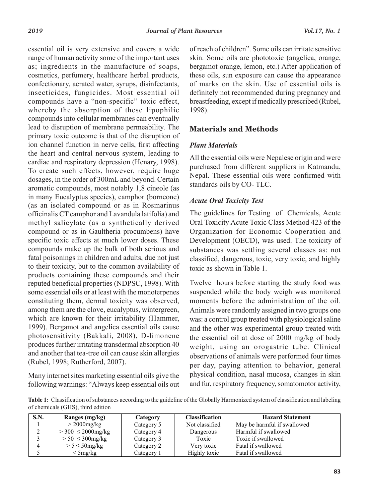essential oil is very extensive and covers a wide range of human activity some of the important uses as; ingredients in the manufacture of soaps, cosmetics, perfumery, healthcare herbal products, confectionary, aerated water, syrups, disinfectants, insecticides, fungicides. Most essential oil compounds have a "non-specific" toxic effect, whereby the absorption of these lipophilic compounds into cellular membranes can eventually lead to disruption of membrane permeability. The primary toxic outcome is that of the disruption of ion channel function in nerve cells, first affecting Plant Materials the heart and central nervous system, leading to  $\overline{A}$ ll the essential oils were cardiac and respiratory depression (Henary, 1998). To create such effects, however, require huge dosages, in the order of 300mL and beyond. Certain aromatic compounds, most notably 1,8 cineole (as in many Eucalyptus species), camphor (borneone)<br>Acute Oral Toxicity Test (as an isolated compound or as in Rosmarinus The toxic Cooler Textile of the toxical property officinalis CT camphor and Lavandula latifolia) and methyl salicylate (as a synthetically derived compound or as in Gaultheria procumbens) have specific toxic effects at much lower doses. These to their toxicity, but to the common availability of products containing these compounds and their reputed beneficial properties (NDPSC, 1998). With constituting them, dermal toxicity was observed, which are known for their irritability (Hammer, 1999). Bergamot and angelica essential oils cause produces further irritating transdermal absorption 40 and another that tea-tree oil can cause skin allergies (Rubel, 1998; Rutherford, 2007).  $\sigma$  inch toxicity, but to the common availability of  $\sigma$  toxic as shown in Table 1.

Many internet sites marketing essential oils give the following warnings: "Always keep essential oils out

of reach of children". Some oils can irritate sensitive skin. Some oils are phototoxic (angelica, orange, bergamot orange, lemon, etc.) After application of these oils, sun exposure can cause the appearance of marks on the skin. Use of essential oils is definitely not recommended during pregnancy and breastfeeding, except if medically prescribed (Rubel, 1998).

### **Materials and Methods**

#### *Plant Materials*

All the essential oils were Nepalese origin and were purchased from different suppliers in Katmandu, Nepal. These essential oils were confirmed with standards oils by CO- TLC.

### *Acute Oral Toxicity Test*

Experiment toxic effects at much lower doses. These Development (OECD), was used. The toxicity of compounds make up the bulk of both serious and substances was settling several classes as: not fatal poisonings in children and adults, due not just classified, dangerous, toxic, very toxic, and highly The guidelines for Testing of Chemicals, Acute nethyl salicylate (as a synthetically derived Oral Toxicity Acute Toxic Class Method 423 of the Organization for Economic Cooperation and Development (OECD), was used. The toxicity of substances was settling several classes as: not classified, dangerous, toxic, very toxic, and highly toxic as shown in Table 1.

some essential oils or at least with the monoterpenes suspended while the body weigh was monitored among them are the clove, eucalyptus, wintergreen, Animals were randomly assigned in two groups one  $\frac{d}{dt}$  photosensitivity (Bakkali, 2008), D-limonene the essential oil at dose of 2000 mg/kg of body eputed beneficial properties (NDPSC, 1998). With Twelve hours before starting the study food was suspended while the body weigh was monitored moments before the administration of the oil. Animals were randomly assigned in two groups one which are known for their irritability (Hammer, was: a control group treated with physiological saline and the other was experimental group treated with the essential oil at dose of 2000 mg/kg of body roduces further irritating transdermal absorption 40 weight, using an orogastric tube. Clinical nd another that tea-tree on can cause skin affergies observations of animals were performed four times<br>Rubel 1998: Rutherford 2007) per day, paying attention to behavior, general Many internet sites marketing essential oils give the physical condition, nasal mucosa, changes in skin and fur, respiratory frequency, somatomotor activity,

Table 1: Classification of substances according to the guideline of the Globally Harmonized system of classification and labeling of chemicals (GHS), third edition

| <b>S.N.</b> | Ranges (mg/kg)         | Category   | <b>Classification</b> | <b>Hazard Statement</b>     |
|-------------|------------------------|------------|-----------------------|-----------------------------|
|             | $>$ 2000mg/kg          | Category 5 | Not classified        | May be harmful if swallowed |
| ↑<br>∠      | $>300 \leq 2000$ mg/kg | Category 4 | Dangerous             | Harmful if swallowed        |
|             | $> 50 \leq 300$ mg/kg  | Category 3 | Toxic                 | Toxic if swallowed          |
| 4           | $> 5 \leq 50$ mg/kg    | Category 2 | Very toxic            | Fatal if swallowed          |
|             | $<$ 5 mg/kg            | Category 1 | Highly toxic          | Fatal if swallowed          |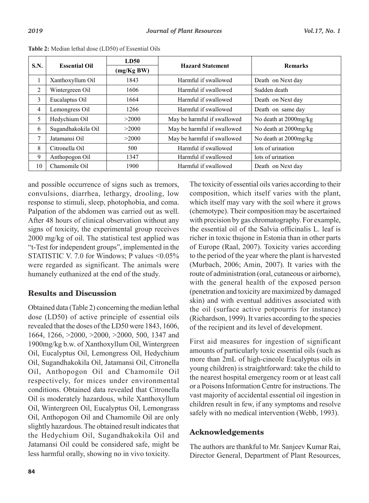| S.N. | <b>Essential Oil</b> | <b>LD50</b> |                             | <b>Remarks</b>           |
|------|----------------------|-------------|-----------------------------|--------------------------|
|      |                      | (mg/KgBW)   | <b>Hazard Statement</b>     |                          |
| 1    | Xanthoxyllum Oil     | 1843        | Harmful if swallowed        | Death on Next day        |
| 2    | Wintergreen Oil      | 1606        | Harmful if swallowed        | Sudden death             |
| 3    | Eucalaptus Oil       | 1664        | Harmful if swallowed        | Death on Next day        |
| 4    | Lemongress Oil       | 1266        | Harmful if swallowed        | Death on same day        |
| 5    | Hedychium Oil        | >2000       | May be harmful if swallowed | No death at $2000$ mg/kg |
| 6    | Sugandhakokila Oil   | >2000       | May be harmful if swallowed | No death at 2000mg/kg    |
| 7    | Jatamansi Oil        | >2000       | May be harmful if swallowed | No death at 2000mg/kg    |
| 8    | Citronella Oil       | 500         | Harmful if swallowed        | lots of urination        |
| 9    | Anthopogon Oil       | 1347        | Harmful if swallowed        | lots of urination        |
| 10   | Chamomile Oil        | 1900        | Harmful if swallowed        | Death on Next day        |

**Table 2:** Median lethal dose (LD50) of Essential Oils **Table 2:** Median lethal dose (LD50) of Essential Oils

and possible occurrence of signs such as tremors, convulsions, diarrhea, lethargy, drooling, low response to stimuli, sleep, photophobia, and coma. Palpation of the abdomen was carried out as well. After 48 hours of clinical observation without any signs of toxicity, the experimental group receives 2000 mg/kg of oil. The statistical test applied was "t-Test for independent groups", implemented in the STATISTIC V. 7.0 for Windows; P values <0.05% were regarded as significant. The animals were humanely euthanized at the end of the study.

## **Results and Discussion**

Obtained data (Table 2) concerning the median lethal dose (LD50) of active principle of essential oils revealed that the doses of the LD50 were 1843, 1606, 1664, 1266, >2000, >2000, >2000, 500, 1347 and 1900mg/kg b.w. of Xanthoxyllum Oil, Wintergreen Oil, Eucalyptus Oil, Lemongress Oil, Hedychium Oil, Sugandhakokila Oil, Jatamansi Oil, Citronella Oil, Anthopogon Oil and Chamomile Oil respectively, for mices under environmental conditions. Obtained data revealed that Citronella Oil is moderately hazardous, while Xanthoxyllum Oil, Wintergreen Oil, Eucalyptus Oil, Lemongrass Oil, Anthopogon Oil and Chamomile Oil are only slightly hazardous. The obtained result indicates that the Hedychium Oil, Sugandhakokila Oil and Jatamansi Oil could be considered safe, might be less harmful orally, showing no in vivo toxicity.

The toxicity of essential oils varies according to their composition, which itself varies with the plant, which itself may vary with the soil where it grows (chemotype). Their composition may be ascertained with precision by gas chromatography. For example, the essential oil of the Salvia officinalis L. leaf is richer in toxic thujone in Estonia than in other parts of Europe (Raal, 2007). Toxicity varies according to the period of the year where the plant is harvested (Murbach, 2006; Amin, 2007). It varies with the route of administration (oral, cutaneous or airborne), with the general health of the exposed person (penetration and toxicity are maximized by damaged skin) and with eventual additives associated with the oil (surface active potpourris for instance) (Richardson, 1999). It varies according to the species of the recipient and its level of development.

First aid measures for ingestion of significant amounts of particularly toxic essential oils (such as more than 2mL of high-cineole Eucalyptus oils in young children) is straightforward: take the child to the nearest hospital emergency room or at least call or a Poisons Information Centre for instructions. The vast majority of accidental essential oil ingestion in children result in few, if any symptoms and resolve safely with no medical intervention (Webb, 1993).

## **Acknowledgements**

The authors are thankful to Mr. Sanjeev Kumar Rai, Director General, Department of Plant Resources,